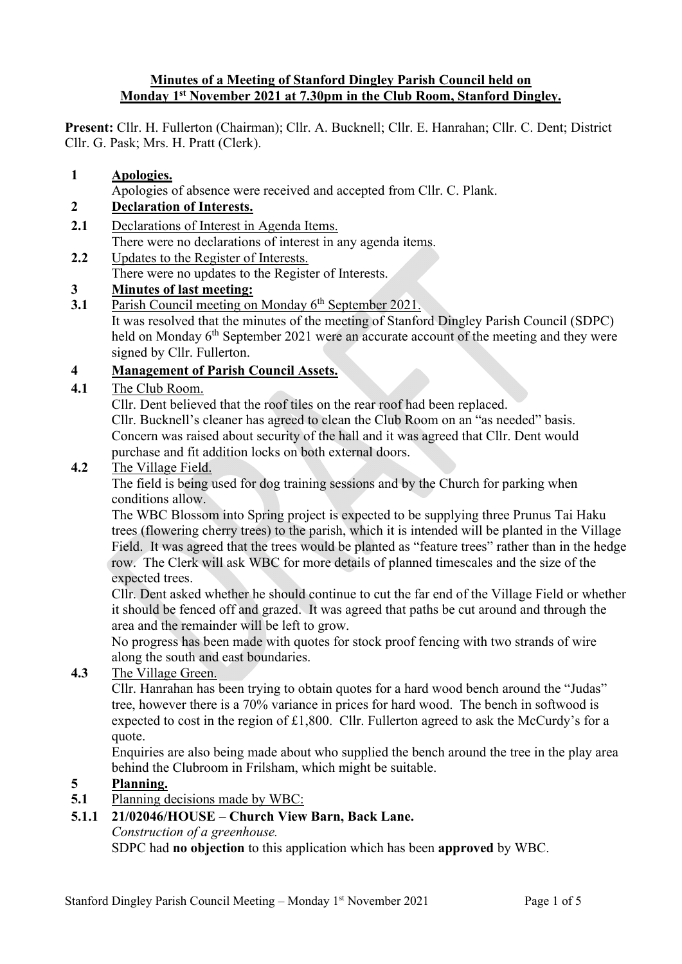#### **Minutes of a Meeting of Stanford Dingley Parish Council held on Monday 1st November 2021 at 7.30pm in the Club Room, Stanford Dingley.**

**Present:** Cllr. H. Fullerton (Chairman); Cllr. A. Bucknell; Cllr. E. Hanrahan; Cllr. C. Dent; District Cllr. G. Pask; Mrs. H. Pratt (Clerk).

#### **1 Apologies.**

Apologies of absence were received and accepted from Cllr. C. Plank.

#### **2 Declaration of Interests.**

- **2.1** Declarations of Interest in Agenda Items. There were no declarations of interest in any agenda items.
- **2.2** Updates to the Register of Interests. There were no updates to the Register of Interests.

### **3 Minutes of last meeting:**

**3.1** Parish Council meeting on Monday 6<sup>th</sup> September 2021. It was resolved that the minutes of the meeting of Stanford Dingley Parish Council (SDPC) held on Monday 6<sup>th</sup> September 2021 were an accurate account of the meeting and they were

# signed by Cllr. Fullerton.

#### **4 Management of Parish Council Assets.**

#### **4.1** The Club Room.

Cllr. Dent believed that the roof tiles on the rear roof had been replaced.

Cllr. Bucknell's cleaner has agreed to clean the Club Room on an "as needed" basis. Concern was raised about security of the hall and it was agreed that Cllr. Dent would purchase and fit addition locks on both external doors.

#### **4.2** The Village Field.

The field is being used for dog training sessions and by the Church for parking when conditions allow.

The WBC Blossom into Spring project is expected to be supplying three Prunus Tai Haku trees (flowering cherry trees) to the parish, which it is intended will be planted in the Village Field. It was agreed that the trees would be planted as "feature trees" rather than in the hedge row. The Clerk will ask WBC for more details of planned timescales and the size of the expected trees.

Cllr. Dent asked whether he should continue to cut the far end of the Village Field or whether it should be fenced off and grazed. It was agreed that paths be cut around and through the area and the remainder will be left to grow.

No progress has been made with quotes for stock proof fencing with two strands of wire along the south and east boundaries.

### **4.3** The Village Green.

Cllr. Hanrahan has been trying to obtain quotes for a hard wood bench around the "Judas" tree, however there is a 70% variance in prices for hard wood. The bench in softwood is expected to cost in the region of £1,800. Cllr. Fullerton agreed to ask the McCurdy's for a quote.

Enquiries are also being made about who supplied the bench around the tree in the play area behind the Clubroom in Frilsham, which might be suitable.

### **5 Planning.**

**5.1** Planning decisions made by WBC:

## **5.1.1 21/02046/HOUSE – Church View Barn, Back Lane.**

*Construction of a greenhouse.*

SDPC had **no objection** to this application which has been **approved** by WBC.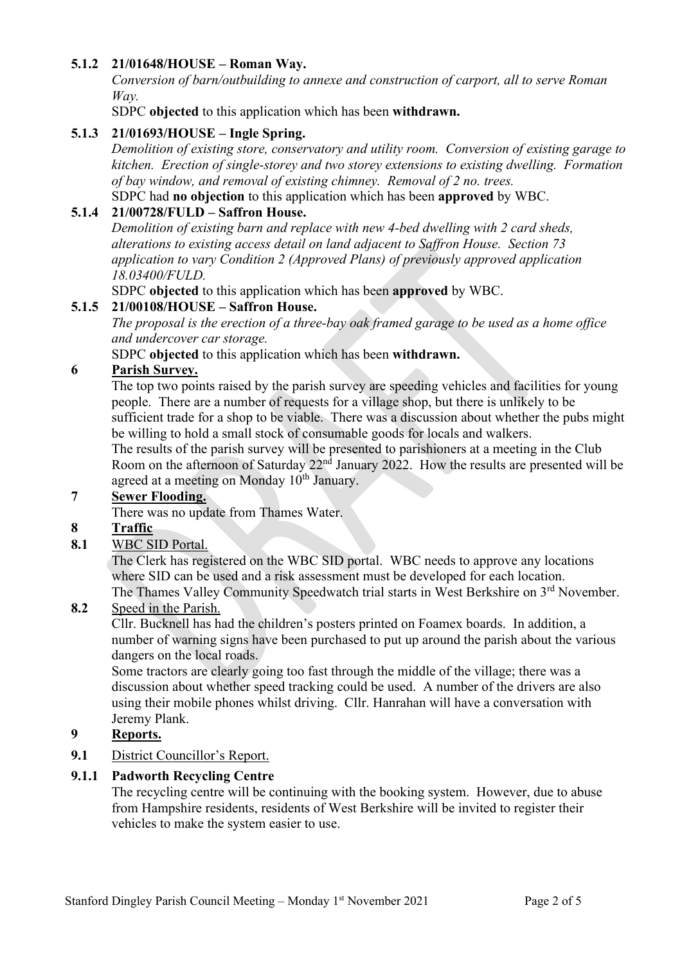### **5.1.2 21/01648/HOUSE – Roman Way.**

*Conversion of barn/outbuilding to annexe and construction of carport, all to serve Roman Way.*

SDPC **objected** to this application which has been **withdrawn.**

### **5.1.3 21/01693/HOUSE – Ingle Spring.**

*Demolition of existing store, conservatory and utility room. Conversion of existing garage to kitchen. Erection of single-storey and two storey extensions to existing dwelling. Formation of bay window, and removal of existing chimney. Removal of 2 no. trees.*

SDPC had **no objection** to this application which has been **approved** by WBC.

# **5.1.4 21/00728/FULD – Saffron House.**

*Demolition of existing barn and replace with new 4-bed dwelling with 2 card sheds, alterations to existing access detail on land adjacent to Saffron House. Section 73 application to vary Condition 2 (Approved Plans) of previously approved application 18.03400/FULD.*

SDPC **objected** to this application which has been **approved** by WBC.

### **5.1.5 21/00108/HOUSE – Saffron House.**

*The proposal is the erection of a three-bay oak framed garage to be used as a home office and undercover car storage.*

SDPC **objected** to this application which has been **withdrawn.**

### **6 Parish Survey.**

The top two points raised by the parish survey are speeding vehicles and facilities for young people. There are a number of requests for a village shop, but there is unlikely to be sufficient trade for a shop to be viable. There was a discussion about whether the pubs might be willing to hold a small stock of consumable goods for locals and walkers.

The results of the parish survey will be presented to parishioners at a meeting in the Club Room on the afternoon of Saturday  $22<sup>nd</sup>$  January 2022. How the results are presented will be agreed at a meeting on Monday 10<sup>th</sup> January.

### **7 Sewer Flooding.**

There was no update from Thames Water.

### **8 Traffic**

### **8.1** WBC SID Portal.

The Clerk has registered on the WBC SID portal. WBC needs to approve any locations where SID can be used and a risk assessment must be developed for each location. The Thames Valley Community Speedwatch trial starts in West Berkshire on 3<sup>rd</sup> November.

### **8.2** Speed in the Parish.

Cllr. Bucknell has had the children's posters printed on Foamex boards. In addition, a number of warning signs have been purchased to put up around the parish about the various dangers on the local roads.

Some tractors are clearly going too fast through the middle of the village; there was a discussion about whether speed tracking could be used. A number of the drivers are also using their mobile phones whilst driving. Cllr. Hanrahan will have a conversation with Jeremy Plank.

# **9 Reports.**

**9.1** District Councillor's Report.

### **9.1.1 Padworth Recycling Centre**

The recycling centre will be continuing with the booking system. However, due to abuse from Hampshire residents, residents of West Berkshire will be invited to register their vehicles to make the system easier to use.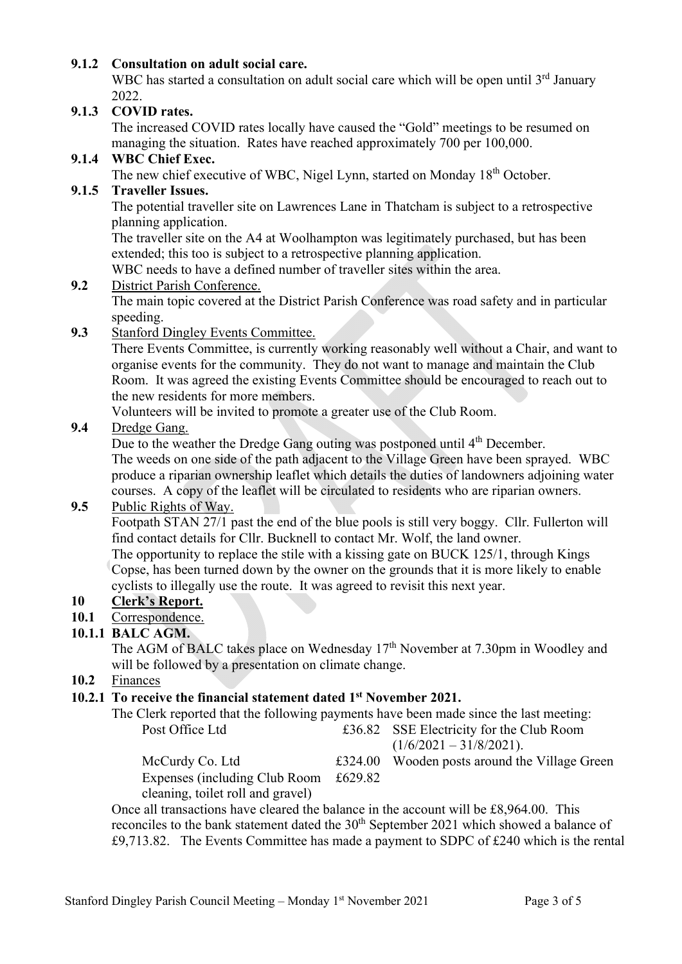### **9.1.2 Consultation on adult social care.**

WBC has started a consultation on adult social care which will be open until  $3<sup>rd</sup>$  January 2022.

#### **9.1.3 COVID rates.**

The increased COVID rates locally have caused the "Gold" meetings to be resumed on managing the situation. Rates have reached approximately 700 per 100,000.

### **9.1.4 WBC Chief Exec.**

The new chief executive of WBC, Nigel Lynn, started on Monday 18<sup>th</sup> October.

## **9.1.5 Traveller Issues.**

The potential traveller site on Lawrences Lane in Thatcham is subject to a retrospective planning application.

The traveller site on the A4 at Woolhampton was legitimately purchased, but has been extended; this too is subject to a retrospective planning application.

WBC needs to have a defined number of traveller sites within the area.

#### **9.2** District Parish Conference.

The main topic covered at the District Parish Conference was road safety and in particular speeding.

#### **9.3** Stanford Dingley Events Committee.

There Events Committee, is currently working reasonably well without a Chair, and want to organise events for the community. They do not want to manage and maintain the Club Room. It was agreed the existing Events Committee should be encouraged to reach out to the new residents for more members.

Volunteers will be invited to promote a greater use of the Club Room.

#### **9.4** Dredge Gang.

Due to the weather the Dredge Gang outing was postponed until 4<sup>th</sup> December.

The weeds on one side of the path adjacent to the Village Green have been sprayed. WBC produce a riparian ownership leaflet which details the duties of landowners adjoining water courses. A copy of the leaflet will be circulated to residents who are riparian owners.

#### **9.5** Public Rights of Way.

Footpath STAN 27/1 past the end of the blue pools is still very boggy. Cllr. Fullerton will find contact details for Cllr. Bucknell to contact Mr. Wolf, the land owner.

The opportunity to replace the stile with a kissing gate on BUCK 125/1, through Kings Copse, has been turned down by the owner on the grounds that it is more likely to enable cyclists to illegally use the route. It was agreed to revisit this next year.

### **10 Clerk's Report.**

### **10.1** Correspondence.

### **10.1.1 BALC AGM.**

The AGM of BALC takes place on Wednesday 17<sup>th</sup> November at 7.30pm in Woodley and will be followed by a presentation on climate change.

**10.2** Finances

# **10.2.1 To receive the financial statement dated 1st November 2021.**

| The Clerk reported that the following payments have been made since the last meeting: |                                               |
|---------------------------------------------------------------------------------------|-----------------------------------------------|
| Post Office Ltd                                                                       | £36.82 SSE Electricity for the Club Room      |
|                                                                                       | $(1/6/2021 - 31/8/2021)$ .                    |
| McCurdy Co. Ltd                                                                       | £324.00 Wooden posts around the Village Green |
| Expenses (including Club Room $£629.82$                                               |                                               |
| cleaning, toilet roll and gravel)                                                     |                                               |

Once all transactions have cleared the balance in the account will be £8,964.00. This reconciles to the bank statement dated the  $30<sup>th</sup>$  September 2021 which showed a balance of  $£9,713.82.$  The Events Committee has made a payment to SDPC of £240 which is the rental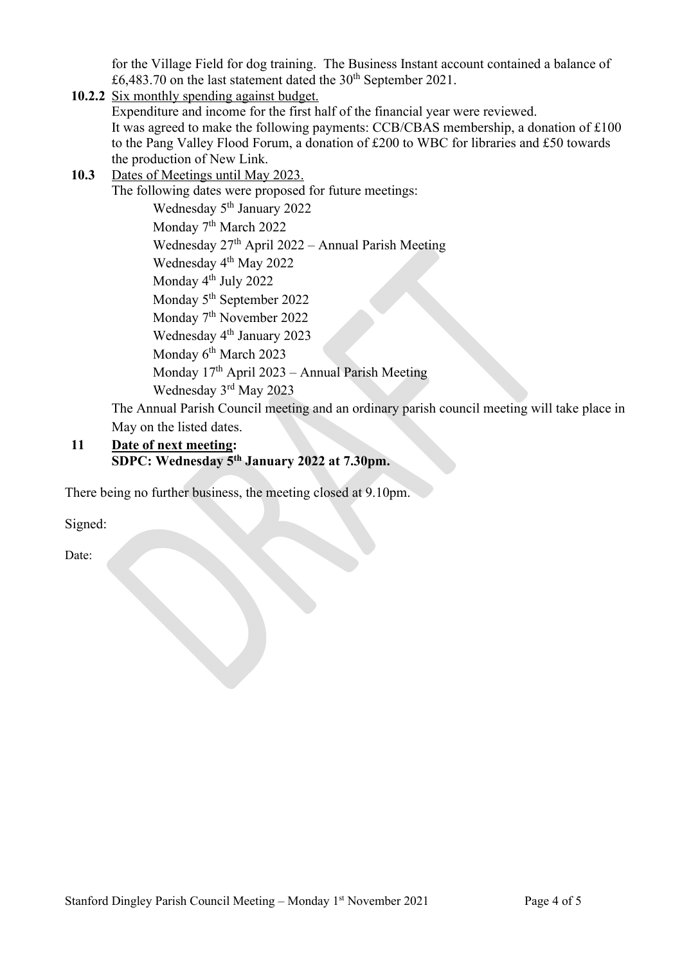for the Village Field for dog training. The Business Instant account contained a balance of £6,483.70 on the last statement dated the  $30<sup>th</sup>$  September 2021.

# **10.2.2** Six monthly spending against budget. Expenditure and income for the first half of the financial year were reviewed. It was agreed to make the following payments: CCB/CBAS membership, a donation of £100 to the Pang Valley Flood Forum, a donation of £200 to WBC for libraries and £50 towards the production of New Link. **10.3** Dates of Meetings until May 2023. The following dates were proposed for future meetings: Wednesday 5<sup>th</sup> January 2022 Monday 7<sup>th</sup> March 2022 Wednesday  $27<sup>th</sup>$  April 2022 – Annual Parish Meeting Wednesday 4<sup>th</sup> May 2022 Monday 4<sup>th</sup> July 2022 Monday 5<sup>th</sup> September 2022 Monday 7<sup>th</sup> November 2022 Wednesday 4<sup>th</sup> January 2023 Monday 6<sup>th</sup> March 2023 Monday 17th April 2023 – Annual Parish Meeting Wednesday 3rd May 2023 The Annual Parish Council meeting and an ordinary parish council meeting will take place in May on the listed dates.

## **11 Date of next meeting: SDPC: Wednesday 5th January 2022 at 7.30pm.**

There being no further business, the meeting closed at 9.10pm.

Signed:

Date: